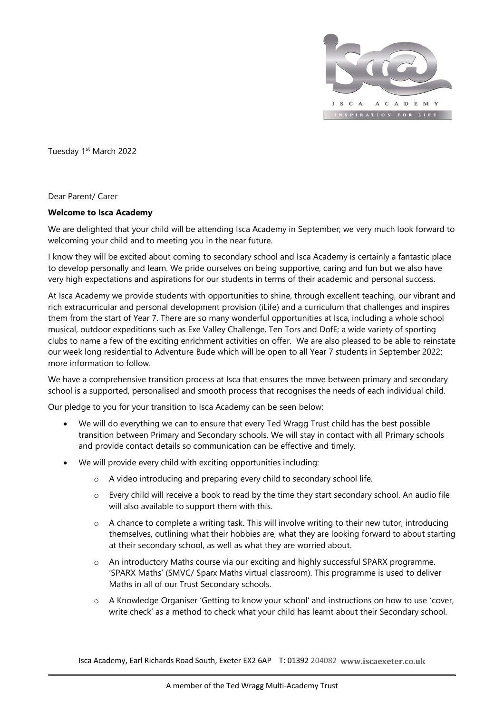

Tuesday 1<sup>st</sup> March 2022

Dear Parent/ Carer

## **Welcome to Isca Academy**

We are delighted that your child will be attending Isca Academy in September; we very much look forward to welcoming your child and to meeting you in the near future.

I know they will be excited about coming to secondary school and Isca Academy is certainly a fantastic place to develop personally and learn. We pride ourselves on being supportive, caring and fun but we also have very high expectations and aspirations for our students in terms of their academic and personal success.

At Isca Academy we provide students with opportunities to shine, through excellent teaching, our vibrant and rich extracurricular and personal development provision (iLife) and a curriculum that challenges and inspires them from the start of Year 7. There are so many wonderful opportunities at Isca, including a whole school musical, outdoor expeditions such as Exe Valley Challenge, Ten Tors and DofE; a wide variety of sporting clubs to name a few of the exciting enrichment activities on offer. We are also pleased to be able to reinstate our week long residential to Adventure Bude which will be open to all Year 7 students in September 2022; more information to follow.

We have a comprehensive transition process at Isca that ensures the move between primary and secondary school is a supported, personalised and smooth process that recognises the needs of each individual child.

Our pledge to you for your transition to Isca Academy can be seen below:

- We will do everything we can to ensure that every Ted Wragg Trust child has the best possible transition between Primary and Secondary schools. We will stay in contact with all Primary schools and provide contact details so communication can be effective and timely.
- We will provide every child with exciting opportunities including:
	- o A video introducing and preparing every child to secondary school life.
	- o Every child will receive a book to read by the time they start secondary school. An audio file will also available to support them with this.
	- o A chance to complete a writing task. This will involve writing to their new tutor, introducing themselves, outlining what their hobbies are, what they are looking forward to about starting at their secondary school, as well as what they are worried about.
	- o An introductory Maths course via our exciting and highly successful SPARX programme. 'SPARX Maths' (SMVC/ Sparx Maths virtual classroom). This programme is used to deliver Maths in all of our Trust Secondary schools.
	- o A Knowledge Organiser 'Getting to know your school' and instructions on how to use 'cover, write check' as a method to check what your child has learnt about their Secondary school.

Isca Academy, Earl Richards Road South, Exeter EX2 6AP T: 01392 204082 **www.iscaexeter.co.uk**